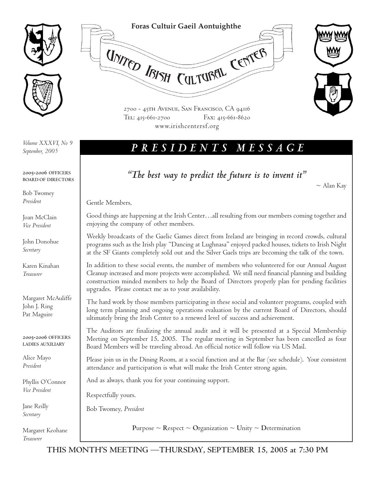

*September, 2005*

**2005-2006 OFFICERS BOARD OF DIRECTORS**

Bob Twomey *President*

Joan McClain *Vice President*

John Donohue *Secretary*

Karen Kinahan *Treasurer*

Margaret McAuliffe John J. Ring Pat Maguire

**2005-2006 OFFICERS LADIES AUXILIARY**

Alice Mayo *President*

Phyllis O'Connor *Vice President*

Jane Reilly *Secretary*

Margaret Keohane *Treasurer*

**Foras Cultuir Gaeil Aontuighthe** UNITED ISISH CULTURAL CENTER 2700 - 45th Avenue, San Francisco, CA 94116 Tel: 415-661-2700 Fax: 415-661-8620

www.irishcentersf.org

## *PRESIDENTS MESSAGE Volume XXXVI, No 9*

*"The best way to predict the future is to invent it"*

 $\sim$  Alan Kay

Gentle Members,

Good things are happening at the Irish Center…all resulting from our members coming together and enjoying the company of other members.

Weekly broadcasts of the Gaelic Games direct from Ireland are bringing in record crowds, cultural programs such as the Irish play "Dancing at Lughnasa" enjoyed packed houses, tickets to Irish Night at the SF Giants completely sold out and the Silver Gaels trips are becoming the talk of the town.

In addition to these social events, the number of members who volunteered for our Annual August Cleanup increased and more projects were accomplished. We still need financial planning and building construction minded members to help the Board of Directors properly plan for pending facilities upgrades. Please contact me as to your availability.

The hard work by those members participating in these social and volunteer programs, coupled with long term planning and ongoing operations evaluation by the current Board of Directors, should ultimately bring the Irish Center to a renewed level of success and achievement.

The Auditors are finalizing the annual audit and it will be presented at a Special Membership Meeting on September 15, 2005. The regular meeting in September has been cancelled as four Board Members will be traveling abroad. An official notice will follow via US Mail.

Please join us in the Dining Room, at a social function and at the Bar (see schedule). Your consistent attendance and participation is what will make the Irish Center strong again.

And as always, thank you for your continuing support.

Respectfully yours.

Bob Twomey, *President*

**Purpose**  $\sim$  **Respect**  $\sim$  **Organization**  $\sim$  **Unity**  $\sim$  **Determination**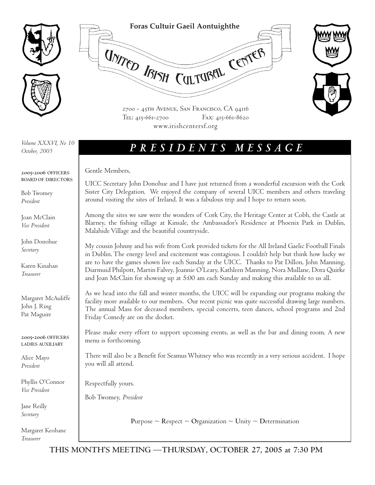

### **Foras Cultuir Gaeil Aontuighthe**

UNITED IBISH CULTUBEL CENTER



2700 - 45th Avenue, San Francisco, CA 94116 Tel: 415-661-2700 Fax: 415-661-8620 www.irishcentersf.org

*October, 2005*

# *PRESIDENTS MESSAGE Volume XXXVI, No 10*

### **2005-2006 OFFICERS BOARD OF DIRECTORS**

Bob Twomey *President*

Joan McClain *Vice President*

John Donohue *Secretary*

Karen Kinahan *Treasurer*

Margaret McAuliffe John J. Ring Pat Maguire

**2005-2006 OFFICERS LADIES AUXILIARY**

Alice Mayo *President*

Phyllis O'Connor *Vice President*

Jane Reilly *Secretary*

Margaret Keohane *Treasurer*

Gentle Members,

UICC Secretary John Donohue and I have just returned from a wonderful excursion with the Cork Sister City Delegation. We enjoyed the company of several UICC members and others traveling around visiting the sites of Ireland. It was a fabulous trip and I hope to return soon.

Among the sites we saw were the wonders of Cork City, the Heritage Center at Cobh, the Castle at Blarney, the fishing village at Kinsale, the Ambassador's Residence at Phoenix Park in Dublin, Malahide Village and the beautiful countryside.

My cousin Johnny and his wife from Cork provided tickets for the All Ireland Gaelic Football Finals in Dublin. The energy level and excitement was contagious. I couldn't help but think how lucky we are to have the games shown live each Sunday at the UICC. Thanks to Pat Dillon, John Manning, Diarmuid Philpott, Martin Falvey, Joannie O'Leary, Kathleen Manning, Nora Mullane, Dora Quirke and Joan McClain for showing up at 5:00 am each Sunday and making this available to us all.

As we head into the fall and winter months, the UICC will be expanding our programs making the facility more available to our members. Our recent picnic was quite successful drawing large numbers. The annual Mass for deceased members, special concerts, teen dances, school programs and 2nd Friday Comedy are on the docket.

Please make every effort to support upcoming events, as well as the bar and dining room. A new menu is forthcoming.

There will also be a Benefit for Seamus Whitney who was recently in a very serious accident. I hope you will all attend.

Respectfully yours.

Bob Twomey, *President*

**Purpose**  $\sim$  **Respect**  $\sim$  **Organization**  $\sim$  **Unity**  $\sim$  **Determination**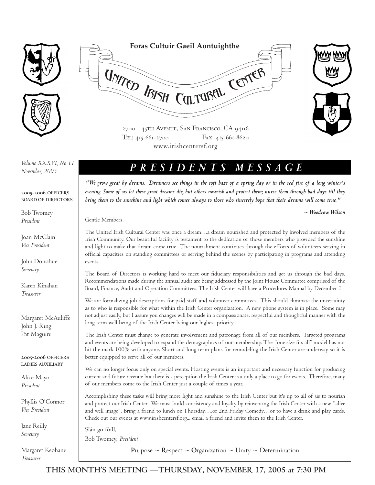



*November, 2005*

**2005-2006 OFFICERS BOARD OF DIRECTORS**

Bob Twomey *President*

Joan McClain *Vice President*

John Donohue *Secretary*

Karen Kinahan *Treasurer*

Margaret McAuliffe John J. Ring Pat Maguire

**2005-2006 OFFICERS LADIES AUXILIARY**

Alice Mayo *President*

Phyllis O'Connor *Vice President*

Jane Reilly *Secretary*

Margaret Keohane *Treasurer*

**Foras Cultuir Gaeil Aontuighthe** UNITED IBISH CULTUBEL CENTER



2700 - 45th Avenue, San Francisco, CA 94116 Tel: 415-661-2700 Fax: 415-661-8620 www.irishcentersf.org

## *PRESIDENTS MESSAGE Volume XXXVI, No 11*

*"We grow great by dreams. Dreamers see things in the soft haze of a spring day or in the red fire of a long winter's evening. Some of us let these great dreams die, but others nourish and protect them; nurse them through bad days till they bring them to the sunshine and light which comes always to those who sincerely hope that their dreams will come true."* 

*~ Woodrow Wilson*

Gentle Members,

The United Irish Cultural Center was once a dream…a dream nourished and protected by involved members of the Irish Community. Our beautiful facility is testament to the dedication of those members who provided the sunshine and light to make that dream come true. The nourishment continues through the efforts of volunteers serving in official capacities on standing committees or serving behind the scenes by participating in programs and attending events.

The Board of Directors is working hard to meet our fiduciary responsibilities and get us through the bad days. Recommendations made during the annual audit are being addressed by the Joint House Committee comprised of the Board, Finance, Audit and Operation Committees. The Irish Center will have a Procedures Manual by December 1.

We are formalizing job descriptions for paid staff and volunteer committees. This should eliminate the uncertainty as to who is responsible for what within the Irish Center organization. A new phone system is in place. Some may not adjust easily, but I assure you changes will be made in a compassionate, respectful and thoughtful manner with the long term well being of the Irish Center being our highest priority.

The Irish Center must change to generate involvement and patronage from all of our members. Targeted programs and events are being developed to expand the demographics of our membership. The "one size fits all" model has not hit the mark 100% with anyone. Short and long term plans for remodeling the Irish Center are underway so it is better equipped to serve all of our members.

We can no longer focus only on special events. Hosting events is an important and necessary function for producing current and future revenue but there is a perception the Irish Center is a only a place to go for events. Therefore, many of our members come to the Irish Center just a couple of times a year.

Accomplishing these tasks will bring more light and sunshine to the Irish Center but it's up to all of us to nourish and protect our Irish Center. We must build consistency and loyalty by reinventing the Irish Center with a new "alive and well image". Bring a friend to lunch on Thursday….or 2nd Friday Comedy…or to have a drink and play cards. Check out our events at www.irishcentersf.org... email a friend and invite them to the Irish Center.

Slán go fóill, Bob Twomey, *President*

**Purpose ~ Respect ~ Organization ~ Unity ~ Determination**